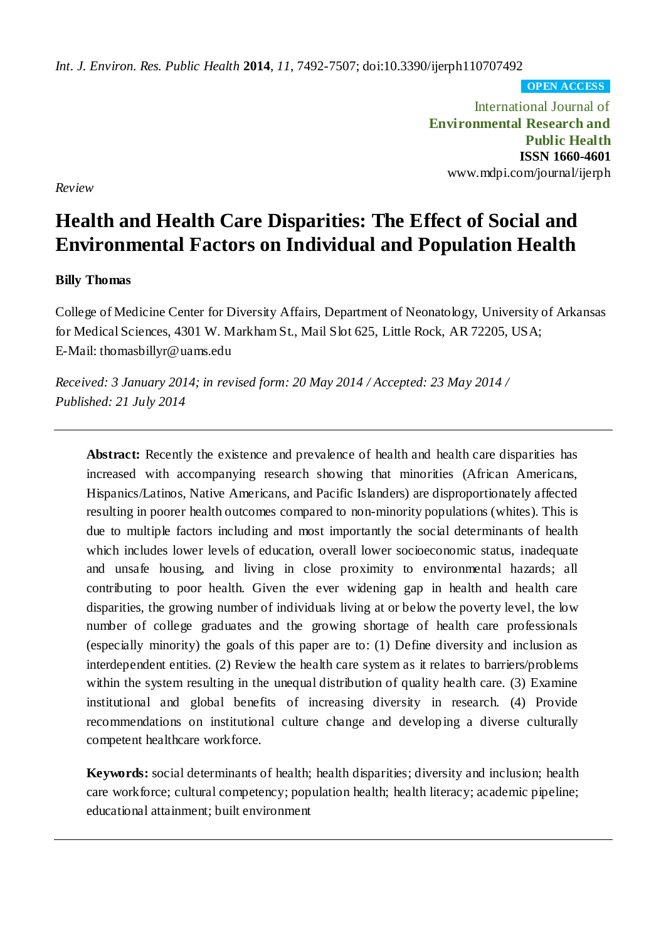*Int. J. Environ. Res. Public Health* **2014**, *11*, 7492-7507; doi:10.3390/ijerph110707492

**OPEN ACCESS**

International Journal of **Environmental Research and Public Health ISSN 1660-4601** www.mdpi.com/journal/ijerph

*Review*

# **Health and Health Care Disparities: The Effect of Social and Environmental Factors on Individual and Population Health**

# **Billy Thomas**

College of Medicine Center for Diversity Affairs, Department of Neonatology, University of Arkansas for Medical Sciences, 4301 W. Markham St., Mail Slot 625, Little Rock, AR 72205, USA; E-Mail: thomasbillyr@uams.edu

*Received: 3 January 2014; in revised form: 20 May 2014 / Accepted: 23 May 2014 / Published: 21 July 2014*

**Abstract:** Recently the existence and prevalence of health and health care disparities has increased with accompanying research showing that minorities (African Americans, Hispanics/Latinos, Native Americans, and Pacific Islanders) are disproportionately affected resulting in poorer health outcomes compared to non-minority populations (whites). This is due to multiple factors including and most importantly the social determinants of health which includes lower levels of education, overall lower socioeconomic status, inadequate and unsafe housing, and living in close proximity to environmental hazards; all contributing to poor health. Given the ever widening gap in health and health care disparities, the growing number of individuals living at or below the poverty level, the low number of college graduates and the growing shortage of health care professionals (especially minority) the goals of this paper are to: (1) Define diversity and inclusion as interdependent entities. (2) Review the health care system as it relates to barriers/problems within the system resulting in the unequal distribution of quality health care. (3) Examine institutional and global benefits of increasing diversity in research. (4) Provide recommendations on institutional culture change and developing a diverse culturally competent healthcare workforce.

**Keywords:** social determinants of health; health disparities; diversity and inclusion; health care workforce; cultural competency; population health; health literacy; academic pipeline; educational attainment; built environment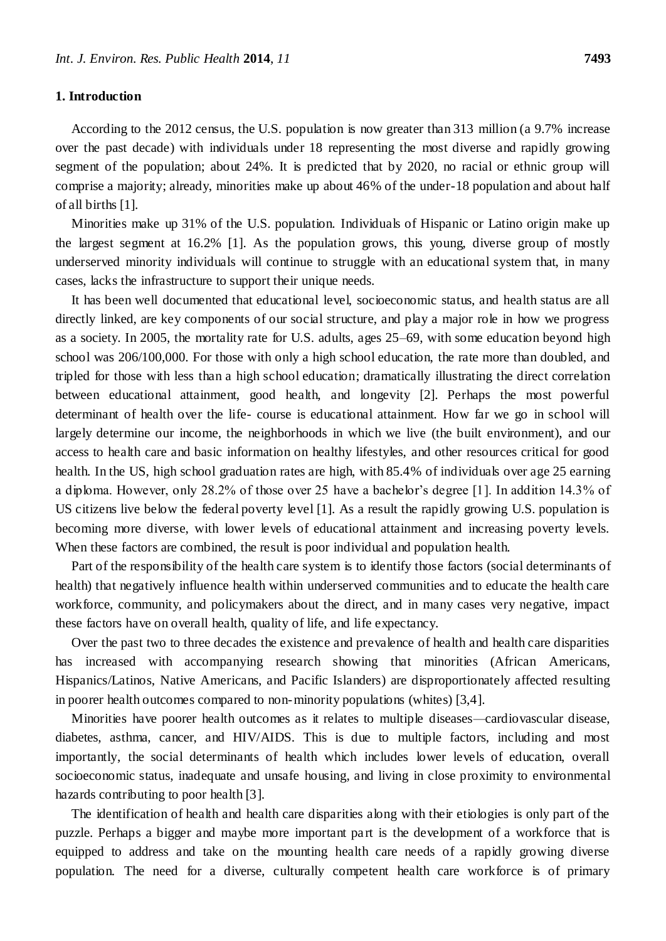#### **1. Introduction**

According to the 2012 census, the U.S. population is now greater than 313 million (a 9.7% increase over the past decade) with individuals under 18 representing the most diverse and rapidly growing segment of the population; about 24%. It is predicted that by 2020, no racial or ethnic group will comprise a majority; already, minorities make up about 46% of the under-18 population and about half of all births [1].

Minorities make up 31% of the U.S. population. Individuals of Hispanic or Latino origin make up the largest segment at 16.2% [1]. As the population grows, this young, diverse group of mostly underserved minority individuals will continue to struggle with an educational system that, in many cases, lacks the infrastructure to support their unique needs.

It has been well documented that educational level, socioeconomic status, and health status are all directly linked, are key components of our social structure, and play a major role in how we progress as a society. In 2005, the mortality rate for U.S. adults, ages 25–69, with some education beyond high school was 206/100,000. For those with only a high school education, the rate more than doubled, and tripled for those with less than a high school education; dramatically illustrating the direct correlation between educational attainment, good health, and longevity [2]. Perhaps the most powerful determinant of health over the life- course is educational attainment. How far we go in school will largely determine our income, the neighborhoods in which we live (the built environment), and our access to health care and basic information on healthy lifestyles, and other resources critical for good health. In the US, high school graduation rates are high, with 85.4% of individuals over age 25 earning a diploma. However, only 28.2% of those over 25 have a bachelor's degree [1]. In addition 14.3% of US citizens live below the federal poverty level [1]. As a result the rapidly growing U.S. population is becoming more diverse, with lower levels of educational attainment and increasing poverty levels. When these factors are combined, the result is poor individual and population health.

Part of the responsibility of the health care system is to identify those factors (social determinants of health) that negatively influence health within underserved communities and to educate the health care workforce, community, and policymakers about the direct, and in many cases very negative, impact these factors have on overall health, quality of life, and life expectancy.

Over the past two to three decades the existence and prevalence of health and health care disparities has increased with accompanying research showing that minorities (African Americans, Hispanics/Latinos, Native Americans, and Pacific Islanders) are disproportionately affected resulting in poorer health outcomes compared to non-minority populations (whites) [3,4].

Minorities have poorer health outcomes as it relates to multiple diseases*—*cardiovascular disease, diabetes, asthma, cancer, and HIV/AIDS. This is due to multiple factors, including and most importantly, the social determinants of health which includes lower levels of education, overall socioeconomic status, inadequate and unsafe housing, and living in close proximity to environmental hazards contributing to poor health [3].

The identification of health and health care disparities along with their etiologies is only part of the puzzle. Perhaps a bigger and maybe more important part is the development of a workforce that is equipped to address and take on the mounting health care needs of a rapidly growing diverse population. The need for a diverse, culturally competent health care workforce is of primary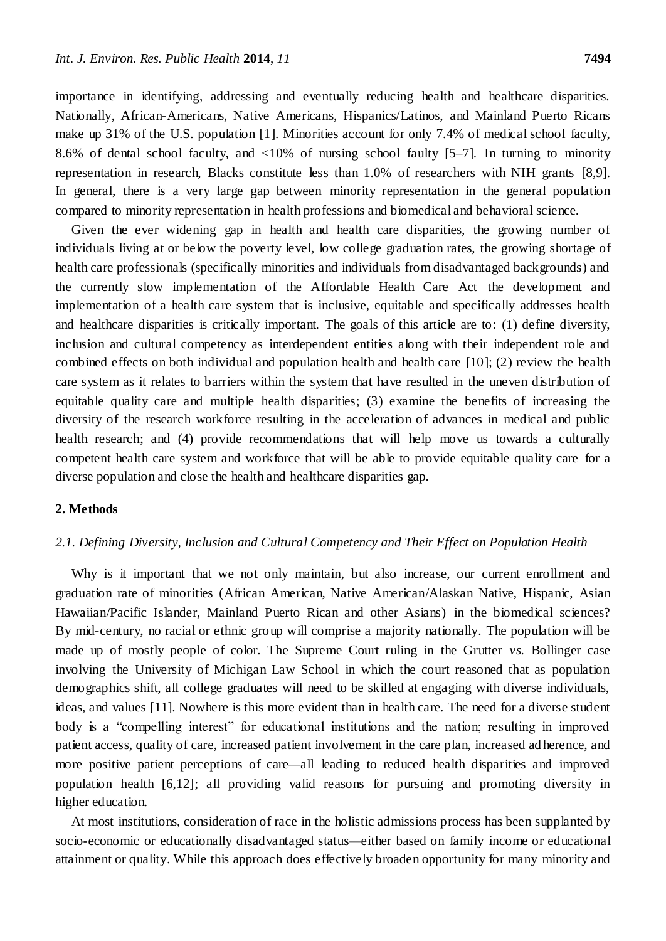importance in identifying, addressing and eventually reducing health and healthcare disparities. Nationally, African-Americans, Native Americans, Hispanics/Latinos, and Mainland Puerto Ricans make up 31% of the U.S. population [1]. Minorities account for only 7.4% of medical school faculty, 8.6% of dental school faculty, and <10% of nursing school faulty [5–7]. In turning to minority representation in research, Blacks constitute less than 1.0% of researchers with NIH grants [8,9]. In general, there is a very large gap between minority representation in the general population compared to minority representation in health professions and biomedical and behavioral science.

Given the ever widening gap in health and health care disparities, the growing number of individuals living at or below the poverty level, low college graduation rates, the growing shortage of health care professionals (specifically minorities and individuals from disadvantaged backgrounds) and the currently slow implementation of the Affordable Health Care Act the development and implementation of a health care system that is inclusive, equitable and specifically addresses health and healthcare disparities is critically important. The goals of this article are to: (1) define diversity, inclusion and cultural competency as interdependent entities along with their independent role and combined effects on both individual and population health and health care [10]; (2) review the health care system as it relates to barriers within the system that have resulted in the uneven distribution of equitable quality care and multiple health disparities; (3) examine the benefits of increasing the diversity of the research workforce resulting in the acceleration of advances in medical and public health research; and (4) provide recommendations that will help move us towards a culturally competent health care system and workforce that will be able to provide equitable quality care for a diverse population and close the health and healthcare disparities gap.

#### **2. Methods**

#### *2.1. Defining Diversity, Inclusion and Cultural Competency and Their Effect on Population Health*

Why is it important that we not only maintain, but also increase, our current enrollment and graduation rate of minorities (African American, Native American/Alaskan Native, Hispanic, Asian Hawaiian/Pacific Islander, Mainland Puerto Rican and other Asians) in the biomedical sciences? By mid-century, no racial or ethnic group will comprise a majority nationally. The population will be made up of mostly people of color. The Supreme Court ruling in the Grutter *vs.* Bollinger case involving the University of Michigan Law School in which the court reasoned that as population demographics shift, all college graduates will need to be skilled at engaging with diverse individuals, ideas, and values [11]. Nowhere is this more evident than in health care. The need for a diverse student body is a "compelling interest" for educational institutions and the nation; resulting in improved patient access, quality of care, increased patient involvement in the care plan, increased ad herence, and more positive patient perceptions of care*—*all leading to reduced health disparities and improved population health [6,12]; all providing valid reasons for pursuing and promoting diversity in higher education.

At most institutions, consideration of race in the holistic admissions process has been supplanted by socio-economic or educationally disadvantaged status*—*either based on family income or educational attainment or quality. While this approach does effectively broaden opportunity for many minority and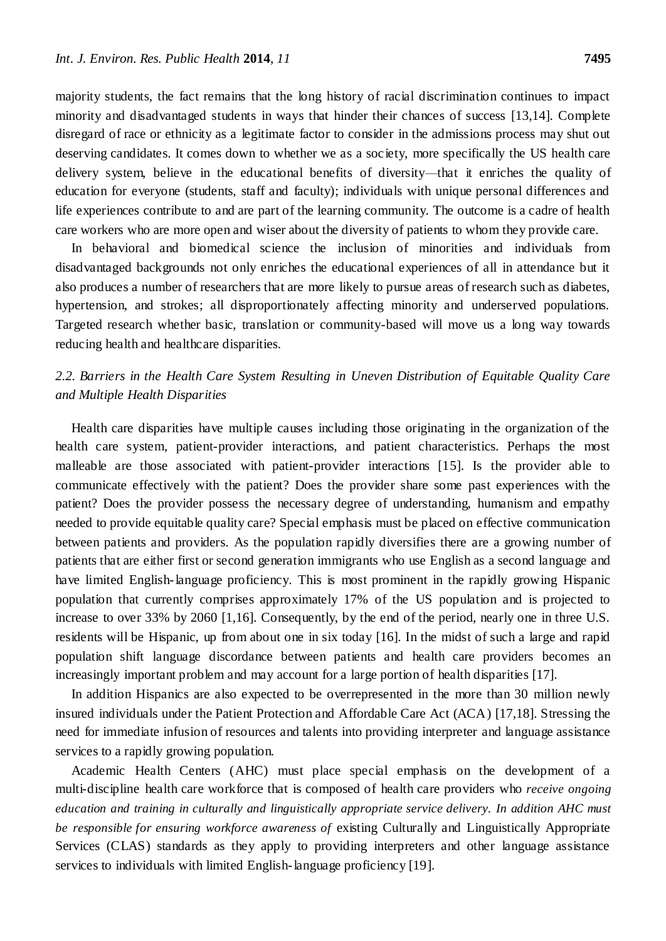majority students, the fact remains that the long history of racial discrimination continues to impact minority and disadvantaged students in ways that hinder their chances of success [13,14]. Complete disregard of race or ethnicity as a legitimate factor to consider in the admissions process may shut out deserving candidates. It comes down to whether we as a society, more specifically the US health care delivery system, believe in the educational benefits of diversity*—*that it enriches the quality of education for everyone (students, staff and faculty); individuals with unique personal differences and life experiences contribute to and are part of the learning community. The outcome is a cadre of health care workers who are more open and wiser about the diversity of patients to whom they provide care.

In behavioral and biomedical science the inclusion of minorities and individuals from disadvantaged backgrounds not only enriches the educational experiences of all in attendance but it also produces a number of researchers that are more likely to pursue areas of research such as diabetes, hypertension, and strokes; all disproportionately affecting minority and underserved populations. Targeted research whether basic, translation or community-based will move us a long way towards reducing health and healthcare disparities.

# *2.2. Barriers in the Health Care System Resulting in Uneven Distribution of Equitable Quality Care and Multiple Health Disparities*

Health care disparities have multiple causes including those originating in the organization of the health care system, patient-provider interactions, and patient characteristics. Perhaps the most malleable are those associated with patient-provider interactions [15]. Is the provider able to communicate effectively with the patient? Does the provider share some past experiences with the patient? Does the provider possess the necessary degree of understanding, humanism and empathy needed to provide equitable quality care? Special emphasis must be placed on effective communication between patients and providers. As the population rapidly diversifies there are a growing number of patients that are either first or second generation immigrants who use English as a second language and have limited English-language proficiency. This is most prominent in the rapidly growing Hispanic population that currently comprises approximately 17% of the US population and is projected to increase to over 33% by 2060 [1,16]. Consequently, by the end of the period, nearly one in three U.S. residents will be Hispanic, up from about one in six today [16]. In the midst of such a large and rapid population shift language discordance between patients and health care providers becomes an increasingly important problem and may account for a large portion of health disparities [17].

In addition Hispanics are also expected to be overrepresented in the more than 30 million newly insured individuals under the Patient Protection and Affordable Care Act (ACA) [17,18]. Stressing the need for immediate infusion of resources and talents into providing interpreter and language assistance services to a rapidly growing population.

Academic Health Centers (AHC) must place special emphasis on the development of a multi-discipline health care workforce that is composed of health care providers who *receive ongoing education and training in culturally and linguistically appropriate service delivery. In addition AHC must be responsible for ensuring workforce awareness of* existing Culturally and Linguistically Appropriate Services (CLAS) standards as they apply to providing interpreters and other language assistance services to individuals with limited English-language proficiency [19].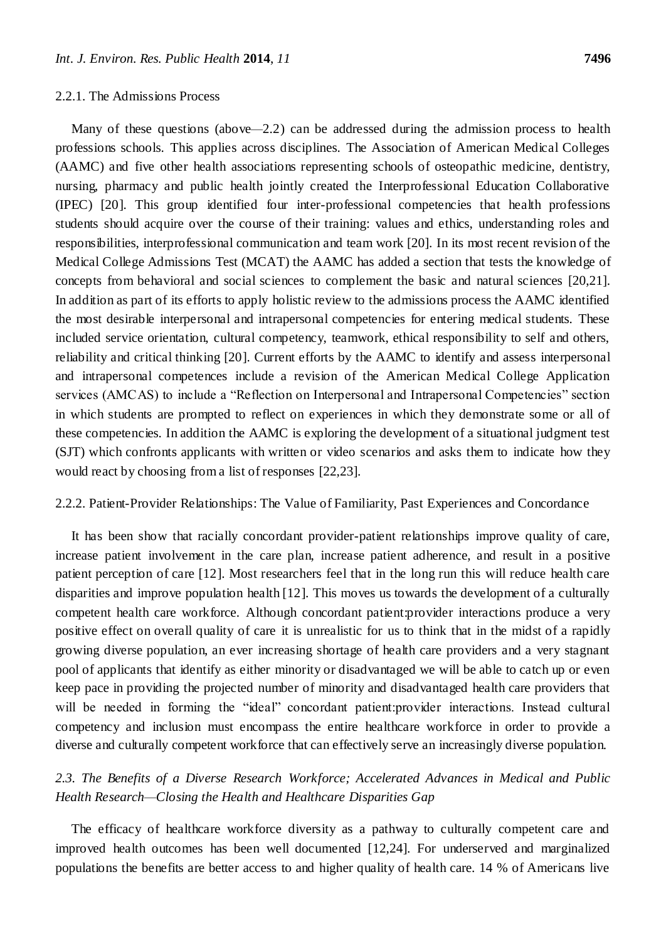#### 2.2.1. The Admissions Process

Many of these questions (above*—*2.2) can be addressed during the admission process to health professions schools. This applies across disciplines. The Association of American Medical Colleges (AAMC) and five other health associations representing schools of osteopathic medicine, dentistry, nursing, pharmacy and public health jointly created the Interprofessional Education Collaborative (IPEC) [20]. This group identified four inter-professional competencies that health professions students should acquire over the course of their training: values and ethics, understanding roles and responsibilities, interprofessional communication and team work [20]. In its most recent revision of the Medical College Admissions Test (MCAT) the AAMC has added a section that tests the knowledge of concepts from behavioral and social sciences to complement the basic and natural sciences [20,21]. In addition as part of its efforts to apply holistic review to the admissions process the AAMC identified the most desirable interpersonal and intrapersonal competencies for entering medical students. These included service orientation, cultural competency, teamwork, ethical responsibility to self and others, reliability and critical thinking [20]. Current efforts by the AAMC to identify and assess interpersonal and intrapersonal competences include a revision of the American Medical College Application services (AMCAS) to include a "Reflection on Interpersonal and Intrapersonal Competencies" section in which students are prompted to reflect on experiences in which they demonstrate some or all of these competencies. In addition the AAMC is exploring the development of a situational judgment test (SJT) which confronts applicants with written or video scenarios and asks them to indicate how they would react by choosing from a list of responses [22,23].

### 2.2.2. Patient-Provider Relationships: The Value of Familiarity, Past Experiences and Concordance

It has been show that racially concordant provider-patient relationships improve quality of care, increase patient involvement in the care plan, increase patient adherence, and result in a positive patient perception of care [12]. Most researchers feel that in the long run this will reduce health care disparities and improve population health [12]. This moves us towards the development of a culturally competent health care workforce. Although concordant patient:provider interactions produce a very positive effect on overall quality of care it is unrealistic for us to think that in the midst of a rapidly growing diverse population, an ever increasing shortage of health care providers and a very stagnant pool of applicants that identify as either minority or disadvantaged we will be able to catch up or even keep pace in providing the projected number of minority and disadvantaged health care providers that will be needed in forming the "ideal" concordant patient:provider interactions. Instead cultural competency and inclusion must encompass the entire healthcare workforce in order to provide a diverse and culturally competent workforce that can effectively serve an increasingly diverse population.

# *2.3. The Benefits of a Diverse Research Workforce; Accelerated Advances in Medical and Public Health Research—Closing the Health and Healthcare Disparities Gap*

The efficacy of healthcare workforce diversity as a pathway to culturally competent care and improved health outcomes has been well documented [12,24]. For underserved and marginalized populations the benefits are better access to and higher quality of health care. 14 % of Americans live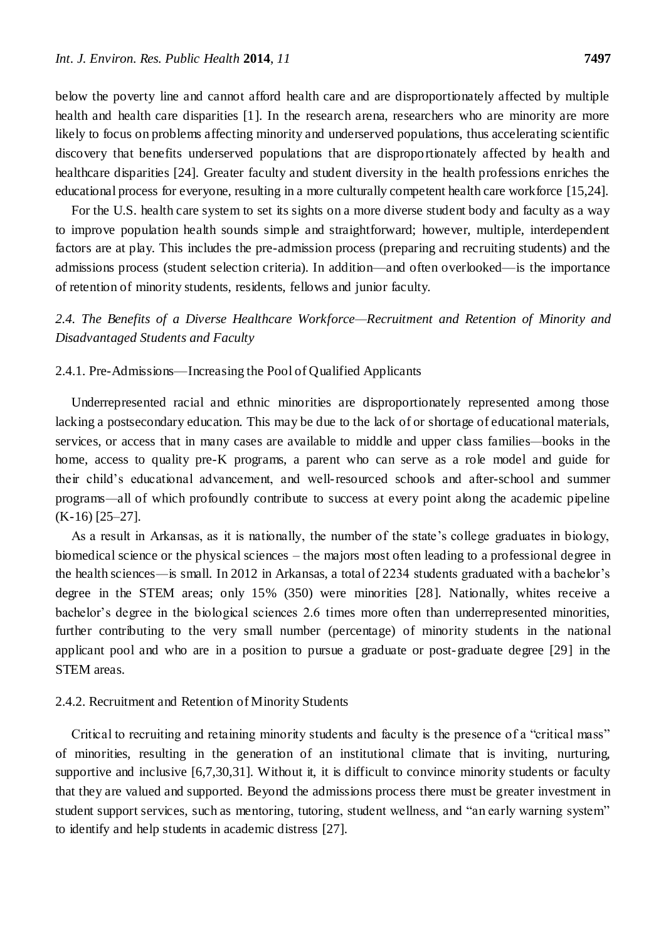below the poverty line and cannot afford health care and are disproportionately affected by multiple health and health care disparities [1]. In the research arena, researchers who are minority are more likely to focus on problems affecting minority and underserved populations, thus accelerating scientific discovery that benefits underserved populations that are disproportionately affected by health and healthcare disparities [24]. Greater faculty and student diversity in the health professions enriches the educational process for everyone, resulting in a more culturally competent health care workforce [15,24].

For the U.S. health care system to set its sights on a more diverse student body and faculty as a way to improve population health sounds simple and straightforward; however, multiple, interdependent factors are at play. This includes the pre-admission process (preparing and recruiting students) and the admissions process (student selection criteria). In addition—and often overlooked—is the importance of retention of minority students, residents, fellows and junior faculty.

*2.4. The Benefits of a Diverse Healthcare Workforce—Recruitment and Retention of Minority and Disadvantaged Students and Faculty*

# 2.4.1. Pre-Admissions—Increasing the Pool of Qualified Applicants

Underrepresented racial and ethnic minorities are disproportionately represented among those lacking a postsecondary education. This may be due to the lack of or shortage of educational materials, services, or access that in many cases are available to middle and upper class families*—*books in the home, access to quality pre-K programs, a parent who can serve as a role model and guide for their child's educational advancement, and well-resourced schools and after-school and summer programs*—*all of which profoundly contribute to success at every point along the academic pipeline (K-16) [25–27].

As a result in Arkansas, as it is nationally, the number of the state's college graduates in biology, biomedical science or the physical sciences – the majors most often leading to a professional degree in the health sciences*—*is small. In 2012 in Arkansas, a total of 2234 students graduated with a bachelor's degree in the STEM areas; only 15% (350) were minorities [28]. Nationally, whites receive a bachelor's degree in the biological sciences 2.6 times more often than underrepresented minorities, further contributing to the very small number (percentage) of minority students in the national applicant pool and who are in a position to pursue a graduate or post-graduate degree [29] in the STEM areas.

#### 2.4.2. Recruitment and Retention of Minority Students

Critical to recruiting and retaining minority students and faculty is the presence of a "critical mass" of minorities, resulting in the generation of an institutional climate that is inviting, nurturing, supportive and inclusive [6,7,30,31]. Without it, it is difficult to convince minority students or faculty that they are valued and supported. Beyond the admissions process there must be greater investment in student support services, such as mentoring, tutoring, student wellness, and "an early warning system" to identify and help students in academic distress [27].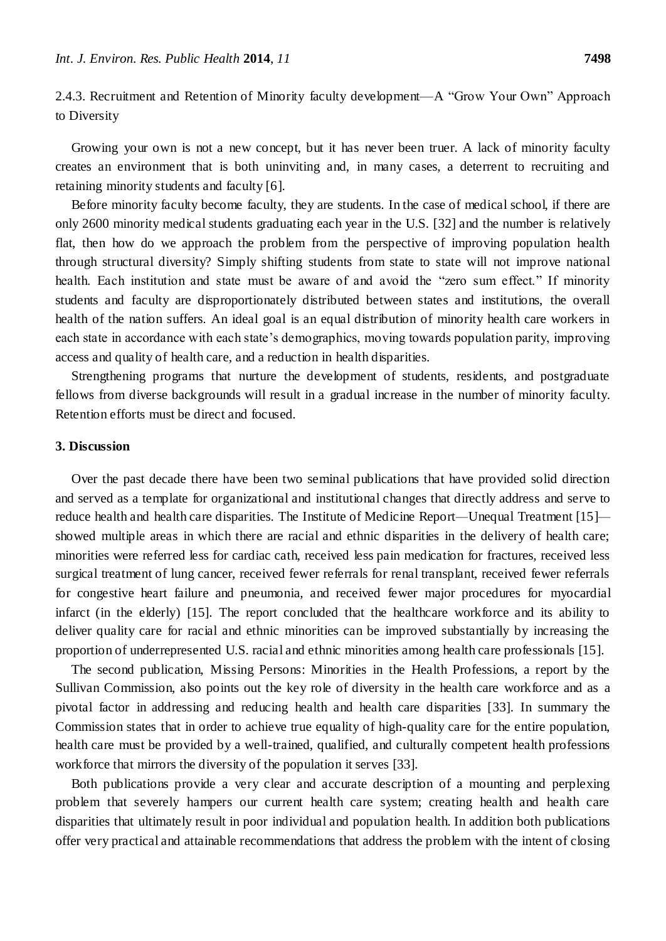2.4.3. Recruitment and Retention of Minority faculty development—A "Grow Your Own" Approach to Diversity

Growing your own is not a new concept, but it has never been truer. A lack of minority faculty creates an environment that is both uninviting and, in many cases, a deterrent to recruiting and retaining minority students and faculty [6].

Before minority faculty become faculty, they are students. In the case of medical school, if there are only 2600 minority medical students graduating each year in the U.S. [32] and the number is relatively flat, then how do we approach the problem from the perspective of improving population health through structural diversity? Simply shifting students from state to state will not improve national health. Each institution and state must be aware of and avoid the "zero sum effect." If minority students and faculty are disproportionately distributed between states and institutions, the overall health of the nation suffers. An ideal goal is an equal distribution of minority health care workers in each state in accordance with each state's demographics, moving towards population parity, improving access and quality of health care, and a reduction in health disparities.

Strengthening programs that nurture the development of students, residents, and postgraduate fellows from diverse backgrounds will result in a gradual increase in the number of minority faculty. Retention efforts must be direct and focused.

#### **3. Discussion**

Over the past decade there have been two seminal publications that have provided solid direction and served as a template for organizational and institutional changes that directly address and serve to reduce health and health care disparities. The Institute of Medicine Report*—*Unequal Treatment [15] showed multiple areas in which there are racial and ethnic disparities in the delivery of health care; minorities were referred less for cardiac cath, received less pain medication for fractures, received less surgical treatment of lung cancer, received fewer referrals for renal transplant, received fewer referrals for congestive heart failure and pneumonia, and received fewer major procedures for myocardial infarct (in the elderly) [15]. The report concluded that the healthcare workforce and its ability to deliver quality care for racial and ethnic minorities can be improved substantially by increasing the proportion of underrepresented U.S. racial and ethnic minorities among health care professionals [15].

The second publication, Missing Persons: Minorities in the Health Professions, a report by the Sullivan Commission, also points out the key role of diversity in the health care workforce and as a pivotal factor in addressing and reducing health and health care disparities [33]. In summary the Commission states that in order to achieve true equality of high-quality care for the entire population, health care must be provided by a well-trained, qualified, and culturally competent health professions workforce that mirrors the diversity of the population it serves [33].

Both publications provide a very clear and accurate description of a mounting and perplexing problem that severely hampers our current health care system; creating health and health care disparities that ultimately result in poor individual and population health. In addition both publications offer very practical and attainable recommendations that address the problem with the intent of closing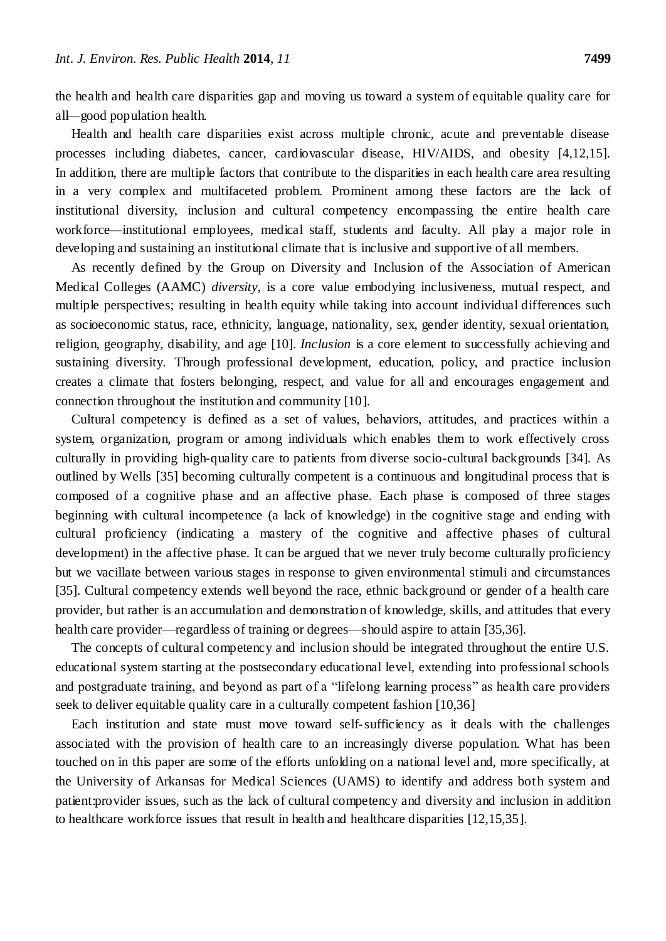the health and health care disparities gap and moving us toward a system of equitable quality care for all*—*good population health.

Health and health care disparities exist across multiple chronic, acute and preventable disease processes including diabetes, cancer, cardiovascular disease, HIV/AIDS, and obesity [4,12,15]. In addition, there are multiple factors that contribute to the disparities in each health care area resulting in a very complex and multifaceted problem. Prominent among these factors are the lack of institutional diversity, inclusion and cultural competency encompassing the entire health care workforce*—*institutional employees, medical staff, students and faculty. All play a major role in developing and sustaining an institutional climate that is inclusive and supportive of all members.

As recently defined by the Group on Diversity and Inclusion of the Association of American Medical Colleges (AAMC) *diversity*, is a core value embodying inclusiveness, mutual respect, and multiple perspectives; resulting in health equity while taking into account individual differences such as socioeconomic status, race, ethnicity, language, nationality, sex, gender identity, sexual orientation, religion, geography, disability, and age [10]. *Inclusion* is a core element to successfully achieving and sustaining diversity. Through professional development, education, policy, and practice inclusion creates a climate that fosters belonging, respect, and value for all and encourages engagement and connection throughout the institution and community [10].

Cultural competency is defined as a set of values, behaviors, attitudes, and practices within a system, organization, program or among individuals which enables them to work effectively cross culturally in providing high-quality care to patients from diverse socio-cultural backgrounds [34]. As outlined by Wells [35] becoming culturally competent is a continuous and longitudinal process that is composed of a cognitive phase and an affective phase. Each phase is composed of three stages beginning with cultural incompetence (a lack of knowledge) in the cognitive stage and ending with cultural proficiency (indicating a mastery of the cognitive and affective phases of cultural development) in the affective phase. It can be argued that we never truly become culturally proficiency but we vacillate between various stages in response to given environmental stimuli and circumstances [35]. Cultural competency extends well beyond the race, ethnic background or gender of a health care provider, but rather is an accumulation and demonstration of knowledge, skills, and attitudes that every health care provider—regardless of training or degrees—should aspire to attain [35,36].

The concepts of cultural competency and inclusion should be integrated throughout the entire U.S. educational system starting at the postsecondary educational level, extending into professional schools and postgraduate training, and beyond as part of a "lifelong learning process" as health care providers seek to deliver equitable quality care in a culturally competent fashion [10,36]

Each institution and state must move toward self-sufficiency as it deals with the challenges associated with the provision of health care to an increasingly diverse population. What has been touched on in this paper are some of the efforts unfolding on a national level and, more specifically, at the University of Arkansas for Medical Sciences (UAMS) to identify and address both system and patient:provider issues, such as the lack of cultural competency and diversity and inclusion in addition to healthcare workforce issues that result in health and healthcare disparities [12,15,35].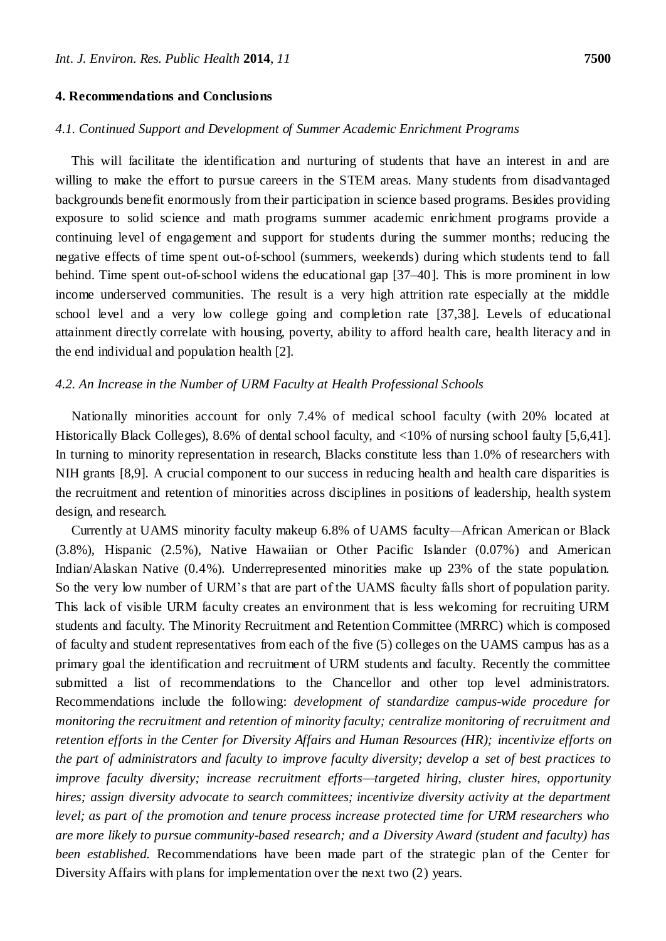#### **4. Recommendations and Conclusions**

### *4.1. Continued Support and Development of Summer Academic Enrichment Programs*

This will facilitate the identification and nurturing of students that have an interest in and are willing to make the effort to pursue careers in the STEM areas. Many students from disadvantaged backgrounds benefit enormously from their participation in science based programs. Besides providing exposure to solid science and math programs summer academic enrichment programs provide a continuing level of engagement and support for students during the summer months; reducing the negative effects of time spent out-of-school (summers, weekends) during which students tend to fall behind. Time spent out-of-school widens the educational gap [37–40]. This is more prominent in low income underserved communities. The result is a very high attrition rate especially at the middle school level and a very low college going and completion rate [37,38]. Levels of educational attainment directly correlate with housing, poverty, ability to afford health care, health literacy and in the end individual and population health [2].

#### *4.2. An Increase in the Number of URM Faculty at Health Professional Schools*

Nationally minorities account for only 7.4% of medical school faculty (with 20% located at Historically Black Colleges), 8.6% of dental school faculty, and <10% of nursing school faulty [5,6,41]. In turning to minority representation in research, Blacks constitute less than 1.0% of researchers with NIH grants [8,9]. A crucial component to our success in reducing health and health care disparities is the recruitment and retention of minorities across disciplines in positions of leadership, health system design, and research.

Currently at UAMS minority faculty makeup 6.8% of UAMS faculty*—*African American or Black (3.8%), Hispanic (2.5%), Native Hawaiian or Other Pacific Islander (0.07%) and American Indian/Alaskan Native (0.4%). Underrepresented minorities make up 23% of the state population. So the very low number of URM's that are part of the UAMS faculty falls short of population parity. This lack of visible URM faculty creates an environment that is less welcoming for recruiting URM students and faculty. The Minority Recruitment and Retention Committee (MRRC) which is composed of faculty and student representatives from each of the five (5) colleges on the UAMS campus has as a primary goal the identification and recruitment of URM students and faculty. Recently the committee submitted a list of recommendations to the Chancellor and other top level administrators. Recommendations include the following: *development of* s*tandardize campus-wide procedure for monitoring the recruitment and retention of minority faculty; centralize monitoring of recruitment and retention efforts in the Center for Diversity Affairs and Human Resources (HR); incentivize efforts on the part of administrators and faculty to improve faculty diversity; develop a set of best practices to improve faculty diversity; increase recruitment efforts—targeted hiring, cluster hires, opportunity hires; assign diversity advocate to search committees; incentivize diversity activity at the department level; as part of the promotion and tenure process increase protected time for URM researchers who are more likely to pursue community-based research; and a Diversity Award (student and faculty) has been established.* Recommendations have been made part of the strategic plan of the Center for Diversity Affairs with plans for implementation over the next two (2) years.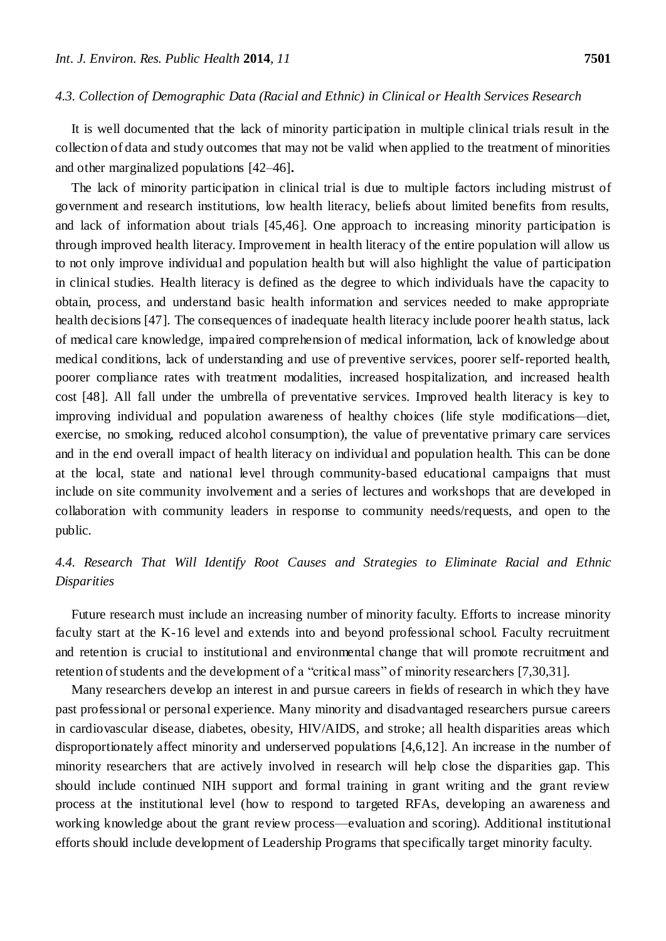#### *4.3. Collection of Demographic Data (Racial and Ethnic) in Clinical or Health Services Research*

It is well documented that the lack of minority participation in multiple clinical trials result in the collection of data and study outcomes that may not be valid when applied to the treatment of minorities and other marginalized populations [42–46].

The lack of minority participation in clinical trial is due to multiple factors including mistrust of government and research institutions, low health literacy, beliefs about limited benefits from results, and lack of information about trials [45,46]. One approach to increasing minority participation is through improved health literacy. Improvement in health literacy of the entire population will allow us to not only improve individual and population health but will also highlight the value of participation in clinical studies. Health literacy is defined as the degree to which individuals have the capacity to obtain, process, and understand basic health information and services needed to make appropriate health decisions [47]. The consequences of inadequate health literacy include poorer health status, lack of medical care knowledge, impaired comprehension of medical information, lack of knowledge about medical conditions, lack of understanding and use of preventive services, poorer self-reported health, poorer compliance rates with treatment modalities, increased hospitalization, and increased health cost [48]. All fall under the umbrella of preventative services. Improved health literacy is key to improving individual and population awareness of healthy choices (life style modifications*—*diet, exercise, no smoking, reduced alcohol consumption), the value of preventative primary care services and in the end overall impact of health literacy on individual and population health. This can be done at the local, state and national level through community-based educational campaigns that must include on site community involvement and a series of lectures and workshops that are developed in collaboration with community leaders in response to community needs/requests, and open to the public.

# *4.4. Research That Will Identify Root Causes and Strategies to Eliminate Racial and Ethnic Disparities*

Future research must include an increasing number of minority faculty. Efforts to increase minority faculty start at the K-16 level and extends into and beyond professional school. Faculty recruitment and retention is crucial to institutional and environmental change that will promote recruitment and retention of students and the development of a "critical mass" of minority researchers [7,30,31].

Many researchers develop an interest in and pursue careers in fields of research in which they have past professional or personal experience. Many minority and disadvantaged researchers pursue careers in cardiovascular disease, diabetes, obesity, HIV/AIDS, and stroke; all health disparities areas which disproportionately affect minority and underserved populations [4,6,12]. An increase in the number of minority researchers that are actively involved in research will help close the disparities gap. This should include continued NIH support and formal training in grant writing and the grant review process at the institutional level (how to respond to targeted RFAs, developing an awareness and working knowledge about the grant review process—evaluation and scoring). Additional institutional efforts should include development of Leadership Programs that specifically target minority faculty.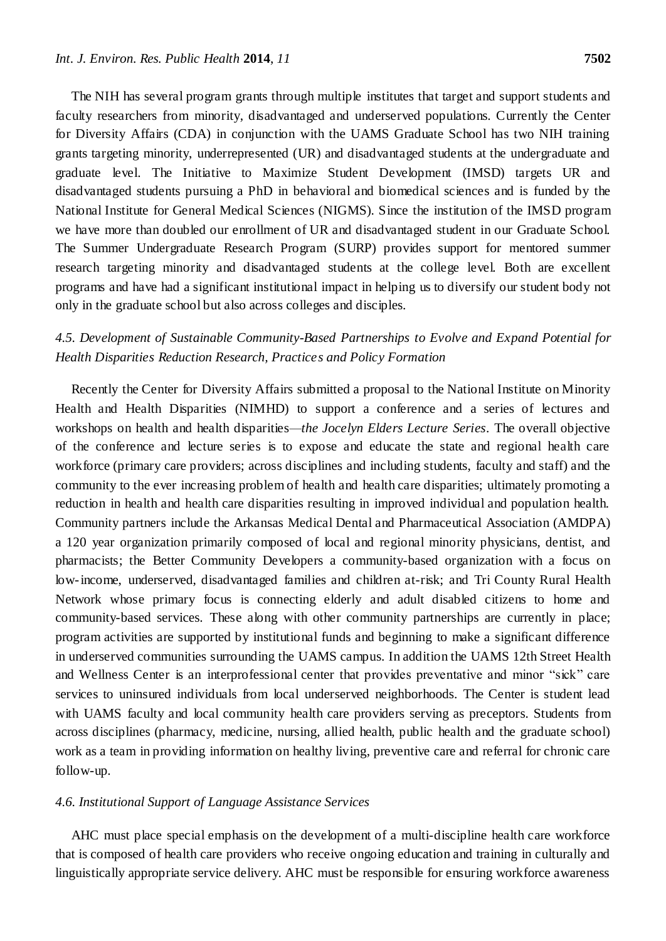The NIH has several program grants through multiple institutes that target and support students and faculty researchers from minority, disadvantaged and underserved populations. Currently the Center for Diversity Affairs (CDA) in conjunction with the UAMS Graduate School has two NIH training grants targeting minority, underrepresented (UR) and disadvantaged students at the undergraduate and graduate level. The Initiative to Maximize Student Development (IMSD) targets UR and disadvantaged students pursuing a PhD in behavioral and biomedical sciences and is funded by the National Institute for General Medical Sciences (NIGMS). Since the institution of the IMSD program we have more than doubled our enrollment of UR and disadvantaged student in our Graduate School. The Summer Undergraduate Research Program (SURP) provides support for mentored summer research targeting minority and disadvantaged students at the college level. Both are excellent programs and have had a significant institutional impact in helping us to diversify our student body not only in the graduate school but also across colleges and disciples.

# *4.5. Development of Sustainable Community-Based Partnerships to Evolve and Expand Potential for Health Disparities Reduction Research, Practices and Policy Formation*

Recently the Center for Diversity Affairs submitted a proposal to the National Institute on Minority Health and Health Disparities (NIMHD) to support a conference and a series of lectures and workshops on health and health disparities*—the Jocelyn Elders Lecture Series*. The overall objective of the conference and lecture series is to expose and educate the state and regional health care workforce (primary care providers; across disciplines and including students, faculty and staff) and the community to the ever increasing problem of health and health care disparities; ultimately promoting a reduction in health and health care disparities resulting in improved individual and population health. Community partners include the Arkansas Medical Dental and Pharmaceutical Association (AMDPA) a 120 year organization primarily composed of local and regional minority physicians, dentist, and pharmacists; the Better Community Developers a community-based organization with a focus on low-income, underserved, disadvantaged families and children at-risk; and Tri County Rural Health Network whose primary focus is connecting elderly and adult disabled citizens to home and community-based services. These along with other community partnerships are currently in place; program activities are supported by institutional funds and beginning to make a significant difference in underserved communities surrounding the UAMS campus. In addition the UAMS 12th Street Health and Wellness Center is an interprofessional center that provides preventative and minor "sick" care services to uninsured individuals from local underserved neighborhoods. The Center is student lead with UAMS faculty and local community health care providers serving as preceptors. Students from across disciplines (pharmacy, medicine, nursing, allied health, public health and the graduate school) work as a team in providing information on healthy living, preventive care and referral for chronic care follow-up.

# *4.6. Institutional Support of Language Assistance Services*

AHC must place special emphasis on the development of a multi-discipline health care workforce that is composed of health care providers who receive ongoing education and training in culturally and linguistically appropriate service delivery. AHC must be responsible for ensuring workforce awareness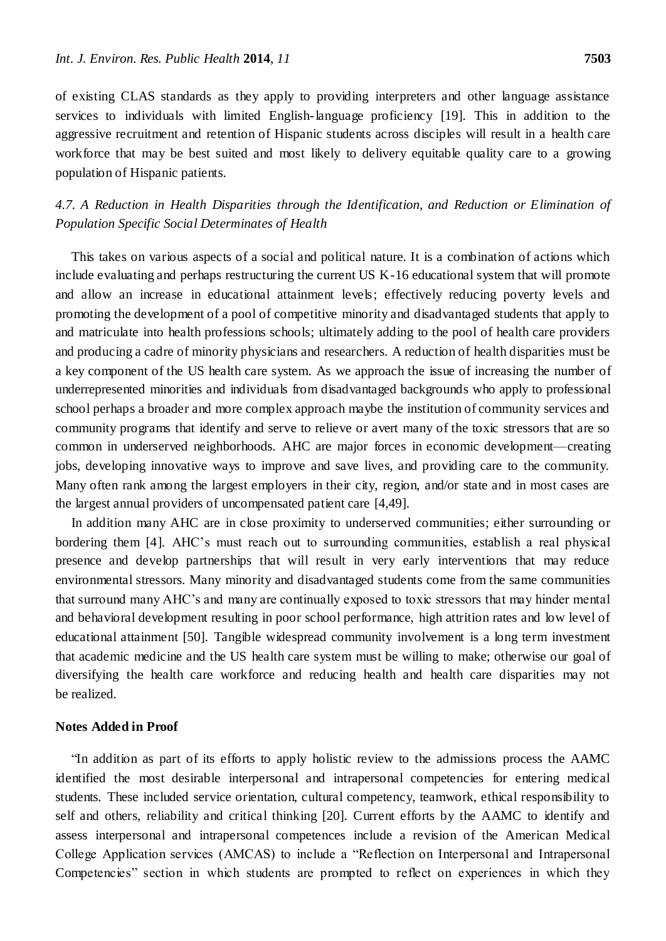of existing CLAS standards as they apply to providing interpreters and other language assistance

services to individuals with limited English-language proficiency [19]. This in addition to the aggressive recruitment and retention of Hispanic students across disciples will result in a health care workforce that may be best suited and most likely to delivery equitable quality care to a growing population of Hispanic patients.

*4.7. A Reduction in Health Disparities through the Identification, and Reduction or Elimination of Population Specific Social Determinates of Health*

This takes on various aspects of a social and political nature. It is a combination of actions which include evaluating and perhaps restructuring the current US K-16 educational system that will promote and allow an increase in educational attainment levels; effectively reducing poverty levels and promoting the development of a pool of competitive minority and disadvantaged students that apply to and matriculate into health professions schools; ultimately adding to the pool of health care providers and producing a cadre of minority physicians and researchers. A reduction of health disparities must be a key component of the US health care system. As we approach the issue of increasing the number of underrepresented minorities and individuals from disadvantaged backgrounds who apply to professional school perhaps a broader and more complex approach maybe the institution of community services and community programs that identify and serve to relieve or avert many of the toxic stressors that are so common in underserved neighborhoods. AHC are major forces in economic development—creating jobs, developing innovative ways to improve and save lives, and providing care to the community. Many often rank among the largest employers in their city, region, and/or state and in most cases are the largest annual providers of uncompensated patient care [4,49].

In addition many AHC are in close proximity to underserved communities; either surrounding or bordering them [4]. AHC's must reach out to surrounding communities, establish a real physical presence and develop partnerships that will result in very early interventions that may reduce environmental stressors. Many minority and disadvantaged students come from the same communities that surround many AHC's and many are continually exposed to toxic stressors that may hinder mental and behavioral development resulting in poor school performance, high attrition rates and low level of educational attainment [50]. Tangible widespread community involvement is a long term investment that academic medicine and the US health care system must be willing to make; otherwise our goal of diversifying the health care workforce and reducing health and health care disparities may not be realized.

#### **Notes Added in Proof**

―In addition as part of its efforts to apply holistic review to the admissions process the AAMC identified the most desirable interpersonal and intrapersonal competencies for entering medical students. These included service orientation, cultural competency, teamwork, ethical responsibility to self and others, reliability and critical thinking [20]. Current efforts by the AAMC to identify and assess interpersonal and intrapersonal competences include a revision of the American Medical College Application services (AMCAS) to include a "Reflection on Interpersonal and Intrapersonal Competencies" section in which students are prompted to reflect on experiences in which they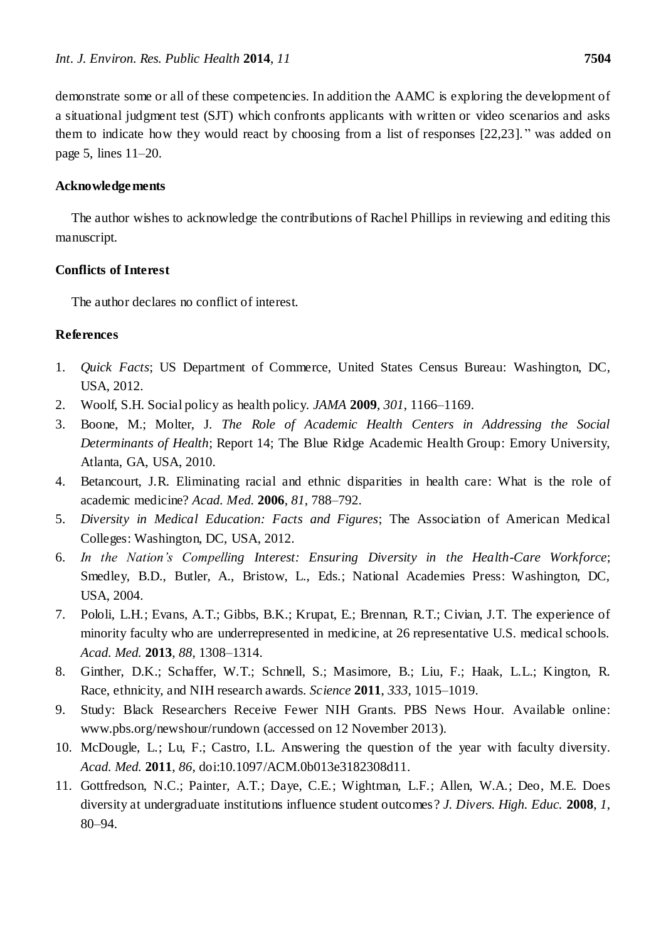demonstrate some or all of these competencies. In addition the AAMC is exploring the development of a situational judgment test (SJT) which confronts applicants with written or video scenarios and asks them to indicate how they would react by choosing from a list of responses  $[22,23]$ ." was added on page 5, lines 11–20.

# **Acknowledgements**

The author wishes to acknowledge the contributions of Rachel Phillips in reviewing and editing this manuscript.

# **Conflicts of Interest**

The author declares no conflict of interest.

# **References**

- 1. *Quick Facts*; US Department of Commerce, United States Census Bureau: Washington, DC, USA, 2012.
- 2. Woolf, S.H. Social policy as health policy. *JAMA* **2009**, *301*, 1166–1169.
- 3. Boone, M.; Molter, J. *The Role of Academic Health Centers in Addressing the Social Determinants of Health*; Report 14; The Blue Ridge Academic Health Group: Emory University, Atlanta, GA, USA, 2010.
- 4. Betancourt, J.R. Eliminating racial and ethnic disparities in health care: What is the role of academic medicine? *Acad. Med.* **2006**, *81*, 788–792.
- 5. *Diversity in Medical Education: Facts and Figures*; The Association of American Medical Colleges: Washington, DC, USA, 2012.
- 6. *In the Nation's Compelling Interest: Ensuring Diversity in the Health-Care Workforce*; Smedley, B.D., Butler, A., Bristow, L., Eds.; National Academies Press: Washington, DC, USA, 2004.
- 7. Pololi, L.H.; Evans, A.T.; Gibbs, B.K.; Krupat, E.; Brennan, R.T.; Civian, J.T. The experience of minority faculty who are underrepresented in medicine, at 26 representative U.S. medical schools. *Acad. Med.* **2013**, *88*, 1308–1314.
- 8. Ginther, D.K.; Schaffer, W.T.; Schnell, S.; Masimore, B.; Liu, F.; Haak, L.L.; Kington, R. Race, ethnicity, and NIH research awards. *Science* **2011**, *333*, 1015–1019.
- 9. Study: Black Researchers Receive Fewer NIH Grants. PBS News Hour. Available online: [www.pbs.org/newshour/rundown](http://www.pbs.org/newshour/rundown) (accessed on 12 November 2013).
- 10. McDougle, L.; Lu, F.; Castro, I.L. Answering the question of the year with faculty diversity. *Acad. Med.* **2011**, *86*, doi:10.1097/ACM.0b013e3182308d11.
- 11. Gottfredson, N.C.; Painter, A.T.; Daye, C.E.; Wightman, L.F.; Allen, W.A.; Deo, M.E. Does diversity at undergraduate institutions influence student outcomes? *J. Divers. High. Educ.* **2008**, *1*, 80–94.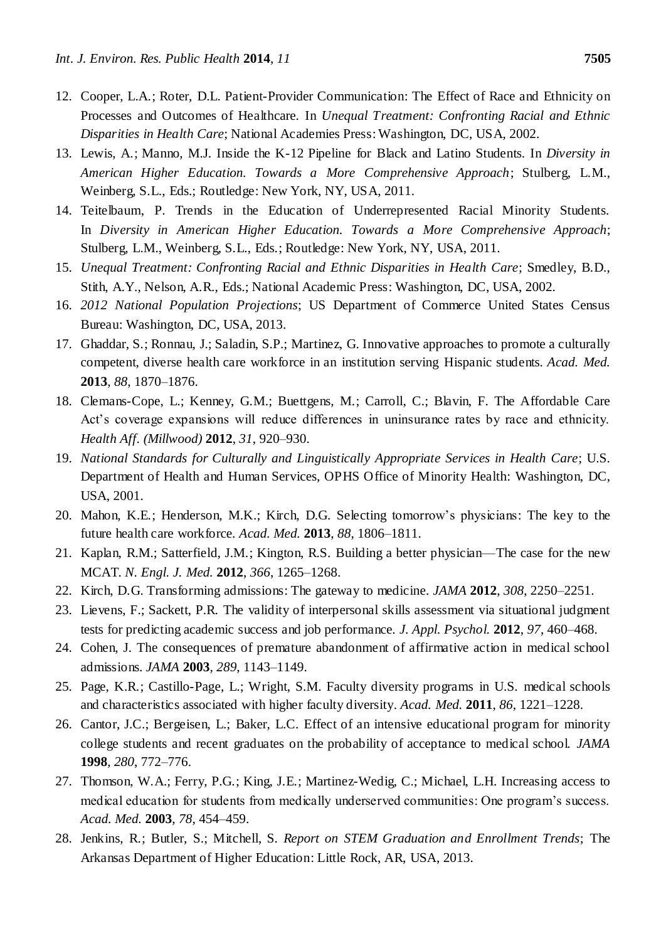- 12. Cooper, L.A.; Roter, D.L. Patient-Provider Communication: The Effect of Race and Ethnicity on Processes and Outcomes of Healthcare. In *Unequal Treatment: Confronting Racial and Ethnic Disparities in Health Care*; National Academies Press: Washington, DC, USA, 2002.
- 13. Lewis, A.; Manno, M.J. Inside the K-12 Pipeline for Black and Latino Students. In *Diversity in American Higher Education. Towards a More Comprehensive Approach*; Stulberg, L.M., Weinberg, S.L., Eds.; Routledge: New York, NY, USA, 2011.
- 14. Teitelbaum, P. Trends in the Education of Underrepresented Racial Minority Students. In *Diversity in American Higher Education. Towards a More Comprehensive Approach*; Stulberg, L.M., Weinberg, S.L., Eds.; Routledge: New York, NY, USA, 2011.
- 15. *Unequal Treatment: Confronting Racial and Ethnic Disparities in Health Care*; Smedley, B.D., Stith, A.Y., Nelson, A.R., Eds.; National Academic Press: Washington, DC, USA, 2002.
- 16. *2012 National Population Projections*; US Department of Commerce United States Census Bureau: Washington, DC, USA, 2013.
- 17. Ghaddar, S.; Ronnau, J.; Saladin, S.P.; Martinez, G. Innovative approaches to promote a culturally competent, diverse health care workforce in an institution serving Hispanic students. *Acad. Med.* **2013**, *88*, 1870–1876.
- 18. Clemans-Cope, L.; Kenney, G.M.; Buettgens, M.; Carroll, C.; Blavin, F. The Affordable Care Act's coverage expansions will reduce differences in uninsurance rates by race and ethnicity. *Health Aff. (Millwood)* **2012**, *31*, 920–930.
- 19. *National Standards for Culturally and Linguistically Appropriate Services in Health Care*; U.S. Department of Health and Human Services, OPHS Office of Minority Health: Washington, DC, USA, 2001.
- 20. Mahon, K.E.; Henderson, M.K.; Kirch, D.G. Selecting tomorrow's physicians: The key to the future health care workforce. *Acad. Med.* **2013**, *88*, 1806–1811.
- 21. Kaplan, R.M.; Satterfield, J.M.; Kington, R.S. Building a better physician—The case for the new MCAT. *N. Engl. J. Med.* **2012**, *366*, 1265–1268.
- 22. Kirch, D.G. Transforming admissions: The gateway to medicine. *JAMA* **2012**, *308*, 2250–2251.
- 23. Lievens, F.; Sackett, P.R. The validity of interpersonal skills assessment via situational judgment tests for predicting academic success and job performance. *J. Appl. Psychol.* **2012**, *97*, 460–468.
- 24. Cohen, J. The consequences of premature abandonment of affirmative action in medical school admissions. *JAMA* **2003**, *289*, 1143–1149.
- 25. Page, K.R.; Castillo-Page, L.; Wright, S.M. Faculty diversity programs in U.S. medical schools and characteristics associated with higher faculty diversity. *Acad. Med.* **2011**, *86*, 1221–1228.
- 26. Cantor, J.C.; Bergeisen, L.; Baker, L.C. Effect of an intensive educational program for minority college students and recent graduates on the probability of acceptance to medical school. *JAMA* **1998**, *280*, 772–776.
- 27. Thomson, W.A.; Ferry, P.G.; King, J.E.; Martinez-Wedig, C.; Michael, L.H. Increasing access to medical education for students from medically underserved communities: One program's success. *Acad. Med.* **2003**, *78*, 454–459.
- 28. Jenkins, R.; Butler, S.; Mitchell, S. *Report on STEM Graduation and Enrollment Trends*; The Arkansas Department of Higher Education: Little Rock, AR, USA, 2013.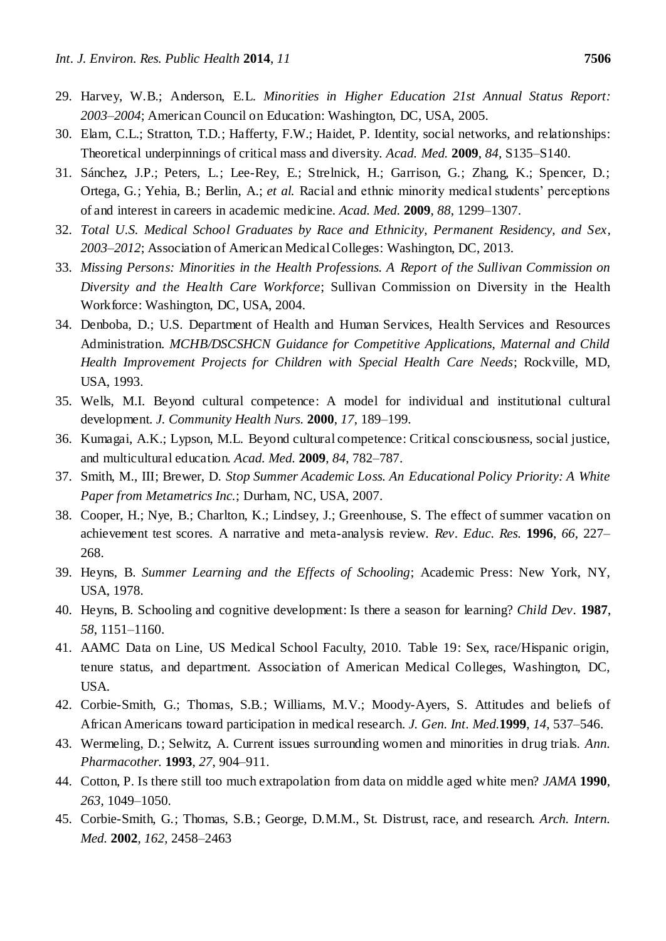- 29. Harvey, W.B.; Anderson, E.L. *Minorities in Higher Education 21st Annual Status Report: 2003*–*2004*; American Council on Education: Washington, DC, USA, 2005.
- 30. Elam, C.L.; Stratton, T.D.; Hafferty, F.W.; Haidet, P. Identity, social networks, and relationships: Theoretical underpinnings of critical mass and diversity. *Acad. Med.* **2009**, *84*, S135–S140.
- 31. Sánchez, J.P.; Peters, L.; Lee-Rey, E.; Strelnick, H.; Garrison, G.; Zhang, K.; Spencer, D.; Ortega, G.; Yehia, B.; Berlin, A.; *et al.* Racial and ethnic minority medical students' perceptions of and interest in careers in academic medicine. *Acad. Med.* **2009**, *88*, 1299–1307.
- 32. *Total U.S. Medical School Graduates by Race and Ethnicity, Permanent Residency, and Sex, 2003–2012*; Association of American Medical Colleges: Washington, DC, 2013.
- 33. *Missing Persons: Minorities in the Health Professions. A Report of the Sullivan Commission on Diversity and the Health Care Workforce*; Sullivan Commission on Diversity in the Health Workforce: Washington, DC, USA, 2004.
- 34. Denboba, D.; U.S. Department of Health and Human Services, Health Services and Resources Administration. *MCHB/DSCSHCN Guidance for Competitive Applications, Maternal and Child Health Improvement Projects for Children with Special Health Care Needs*; Rockville, MD, USA, 1993.
- 35. Wells, M.I. Beyond cultural competence: A model for individual and institutional cultural development. *J. Community Health Nurs.* **2000**, *17*, 189–199.
- 36. Kumagai, A.K.; Lypson, M.L. Beyond cultural competence: Critical consciousness, social justice, and multicultural education. *Acad. Med.* **2009**, *84*, 782–787.
- 37. Smith, M., III; Brewer, D. *Stop Summer Academic Loss. An Educational Policy Priority: A White Paper from Metametrics Inc.*; Durham, NC, USA, 2007.
- 38. Cooper, H.; Nye, B.; Charlton, K.; Lindsey, J.; Greenhouse, S. The effect of summer vacation on achievement test scores. A narrative and meta-analysis review. *Rev. Educ. Res.* **1996**, *66*, 227– 268.
- 39. Heyns, B. *Summer Learning and the Effects of Schooling*; Academic Press: New York, NY, USA, 1978.
- 40. Heyns, B. Schooling and cognitive development: Is there a season for learning? *Child Dev.* **1987**, *58*, 1151–1160.
- 41. AAMC Data on Line, US Medical School Faculty, 2010. Table 19: Sex, race/Hispanic origin, tenure status, and department. Association of American Medical Colleges, Washington, DC, USA.
- 42. Corbie-Smith, G.; Thomas, S.B.; Williams, M.V.; Moody-Ayers, S. Attitudes and beliefs of African Americans toward participation in medical research. *J. Gen. Int. Med.***1999**, *14*, 537–546.
- 43. Wermeling, D.; Selwitz, A. Current issues surrounding women and minorities in drug trials. *Ann. Pharmacother.* **1993**, *27*, 904–911.
- 44. Cotton, P. Is there still too much extrapolation from data on middle aged white men? *JAMA* **1990**, *263*, 1049–1050.
- 45. Corbie-Smith, G.; Thomas, S.B.; George, D.M.M., St. Distrust, race, and research. *Arch. Intern. Med.* **2002**, *162*, 2458–2463